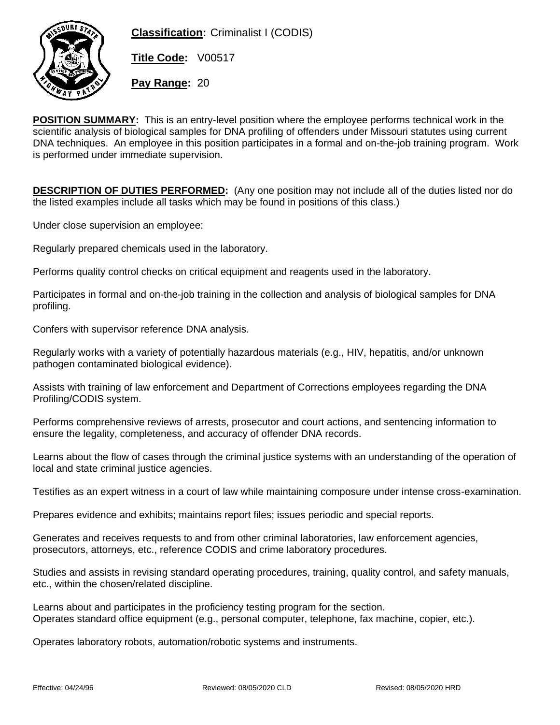

**Classification:** Criminalist I (CODIS)

**Title Code:** V00517

**Pay Range:** 20

**POSITION SUMMARY:** This is an entry-level position where the employee performs technical work in the scientific analysis of biological samples for DNA profiling of offenders under Missouri statutes using current DNA techniques. An employee in this position participates in a formal and on-the-job training program. Work is performed under immediate supervision.

**DESCRIPTION OF DUTIES PERFORMED:** (Any one position may not include all of the duties listed nor do the listed examples include all tasks which may be found in positions of this class.)

Under close supervision an employee:

Regularly prepared chemicals used in the laboratory.

Performs quality control checks on critical equipment and reagents used in the laboratory.

Participates in formal and on-the-job training in the collection and analysis of biological samples for DNA profiling.

Confers with supervisor reference DNA analysis.

Regularly works with a variety of potentially hazardous materials (e.g., HIV, hepatitis, and/or unknown pathogen contaminated biological evidence).

Assists with training of law enforcement and Department of Corrections employees regarding the DNA Profiling/CODIS system.

Performs comprehensive reviews of arrests, prosecutor and court actions, and sentencing information to ensure the legality, completeness, and accuracy of offender DNA records.

Learns about the flow of cases through the criminal justice systems with an understanding of the operation of local and state criminal justice agencies.

Testifies as an expert witness in a court of law while maintaining composure under intense cross-examination.

Prepares evidence and exhibits; maintains report files; issues periodic and special reports.

Generates and receives requests to and from other criminal laboratories, law enforcement agencies, prosecutors, attorneys, etc., reference CODIS and crime laboratory procedures.

Studies and assists in revising standard operating procedures, training, quality control, and safety manuals, etc., within the chosen/related discipline.

Learns about and participates in the proficiency testing program for the section. Operates standard office equipment (e.g., personal computer, telephone, fax machine, copier, etc.).

Operates laboratory robots, automation/robotic systems and instruments.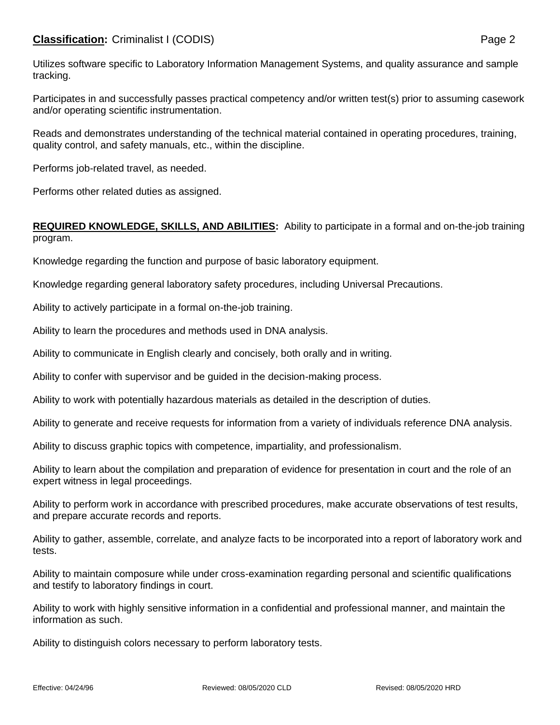## **Classification:** Criminalist I (CODIS) **Page 2**

Utilizes software specific to Laboratory Information Management Systems, and quality assurance and sample tracking.

Participates in and successfully passes practical competency and/or written test(s) prior to assuming casework and/or operating scientific instrumentation.

Reads and demonstrates understanding of the technical material contained in operating procedures, training, quality control, and safety manuals, etc., within the discipline.

Performs job-related travel, as needed.

Performs other related duties as assigned.

## **REQUIRED KNOWLEDGE, SKILLS, AND ABILITIES:** Ability to participate in a formal and on-the-job training program.

Knowledge regarding the function and purpose of basic laboratory equipment.

Knowledge regarding general laboratory safety procedures, including Universal Precautions.

Ability to actively participate in a formal on-the-job training.

Ability to learn the procedures and methods used in DNA analysis.

Ability to communicate in English clearly and concisely, both orally and in writing.

Ability to confer with supervisor and be guided in the decision-making process.

Ability to work with potentially hazardous materials as detailed in the description of duties.

Ability to generate and receive requests for information from a variety of individuals reference DNA analysis.

Ability to discuss graphic topics with competence, impartiality, and professionalism.

Ability to learn about the compilation and preparation of evidence for presentation in court and the role of an expert witness in legal proceedings.

Ability to perform work in accordance with prescribed procedures, make accurate observations of test results, and prepare accurate records and reports.

Ability to gather, assemble, correlate, and analyze facts to be incorporated into a report of laboratory work and tests.

Ability to maintain composure while under cross-examination regarding personal and scientific qualifications and testify to laboratory findings in court.

Ability to work with highly sensitive information in a confidential and professional manner, and maintain the information as such.

Ability to distinguish colors necessary to perform laboratory tests.